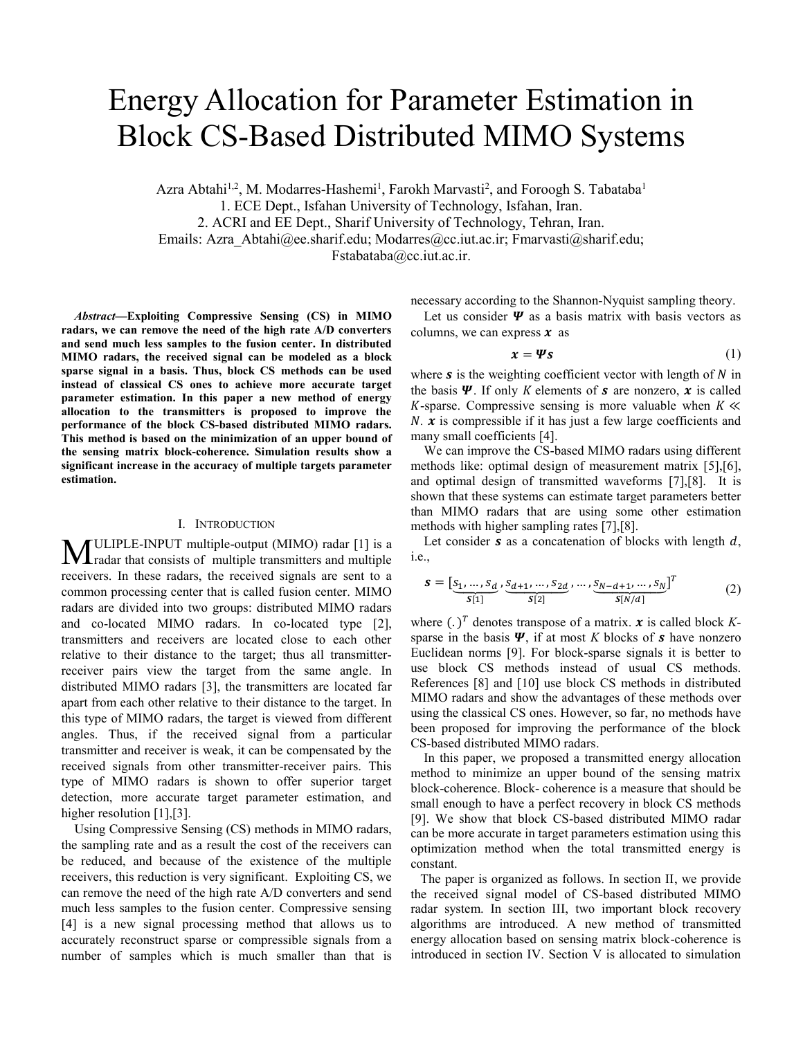# Energy Allocation for Parameter Estimation in Block CS-Based Distributed MIMO Systems

Azra Abtahi<sup>1,2</sup>, M. Modarres-Hashemi<sup>1</sup>, Farokh Marvasti<sup>2</sup>, and Foroogh S. Tabataba<sup>1</sup> 1. ECE Dept., Isfahan University of Technology, Isfahan, Iran. 2. ACRI and EE Dept., Sharif University of Technology, Tehran, Iran. Emails: Azra\_Abtahi@ee.sharif.edu; Modarres@cc.iut.ac.ir; Fmarvasti@sharif.edu; Fstabataba@cc.iut.ac.ir.

*Abstract***—Exploiting Compressive Sensing (CS) in MIMO radars, we can remove the need of the high rate A/D converters and send much less samples to the fusion center. In distributed MIMO radars, the received signal can be modeled as a block sparse signal in a basis. Thus, block CS methods can be used instead of classical CS ones to achieve more accurate target parameter estimation. In this paper a new method of energy allocation to the transmitters is proposed to improve the performance of the block CS-based distributed MIMO radars. This method is based on the minimization of an upper bound of the sensing matrix block-coherence. Simulation results show a significant increase in the accuracy of multiple targets parameter estimation.**

## I. INTRODUCTION

ULIPLE-INPUT multiple-output (MIMO) radar [1] is a **MULIPLE-INPUT** multiple-output (MIMO) radar [1] is a radar that consists of multiple transmitters and multiple receivers. In these radars, the received signals are sent to a common processing center that is called fusion center. MIMO radars are divided into two groups: distributed MIMO radars and co-located MIMO radars. In co-located type [2], transmitters and receivers are located close to each other relative to their distance to the target; thus all transmitterreceiver pairs view the target from the same angle. In distributed MIMO radars [3], the transmitters are located far apart from each other relative to their distance to the target. In this type of MIMO radars, the target is viewed from different angles. Thus, if the received signal from a particular transmitter and receiver is weak, it can be compensated by the received signals from other transmitter-receiver pairs. This type of MIMO radars is shown to offer superior target detection, more accurate target parameter estimation, and higher resolution [1], [3].

 Using Compressive Sensing (CS) methods in MIMO radars, the sampling rate and as a result the cost of the receivers can be reduced, and because of the existence of the multiple receivers, this reduction is very significant. Exploiting CS, we can remove the need of the high rate A/D converters and send much less samples to the fusion center. Compressive sensing [4] is a new signal processing method that allows us to accurately reconstruct sparse or compressible signals from a number of samples which is much smaller than that is necessary according to the Shannon-Nyquist sampling theory.

Let us consider  $\Psi$  as a basis matrix with basis vectors as columns, we can express  $x$  as

$$
x = \Psi s \tag{1}
$$

where  $s$  is the weighting coefficient vector with length of  $N$  in the basis  $\Psi$ . If only K elements of **s** are nonzero, **x** is called  $K$ -sparse. Compressive sensing is more valuable when  $K \ll$ *N*.  $\boldsymbol{x}$  is compressible if it has just a few large coefficients and many small coefficients [4].

 We can improve the CS-based MIMO radars using different methods like: optimal design of measurement matrix [5],[6], and optimal design of transmitted waveforms [7],[8]. It is shown that these systems can estimate target parameters better than MIMO radars that are using some other estimation methods with higher sampling rates [7],[8].

Let consider  $s$  as a concatenation of blocks with length  $d$ , i.e.,

$$
\mathbf{s} = [\underbrace{s_1, ..., s_d}_{S[1]}, \underbrace{s_{d+1}, ..., s_{2d}}_{S[2]}, ..., \underbrace{s_{N-d+1}, ..., s_N}_{S[N/d]}]^T
$$
(2)

where  $(.)^T$  denotes transpose of a matrix.  $x$  is called block Ksparse in the basis  $\Psi$ , if at most *K* blocks of **s** have nonzero Euclidean norms [9]. For block-sparse signals it is better to use block CS methods instead of usual CS methods. References [8] and [10] use block CS methods in distributed MIMO radars and show the advantages of these methods over using the classical CS ones. However, so far, no methods have been proposed for improving the performance of the block CS-based distributed MIMO radars.

 In this paper, we proposed a transmitted energy allocation method to minimize an upper bound of the sensing matrix block-coherence. Block- coherence is a measure that should be small enough to have a perfect recovery in block CS methods [9]. We show that block CS-based distributed MIMO radar can be more accurate in target parameters estimation using this optimization method when the total transmitted energy is constant.

 The paper is organized as follows. In section II, we provide the received signal model of CS-based distributed MIMO radar system. In section III, two important block recovery algorithms are introduced. A new method of transmitted energy allocation based on sensing matrix block-coherence is introduced in section IV. Section V is allocated to simulation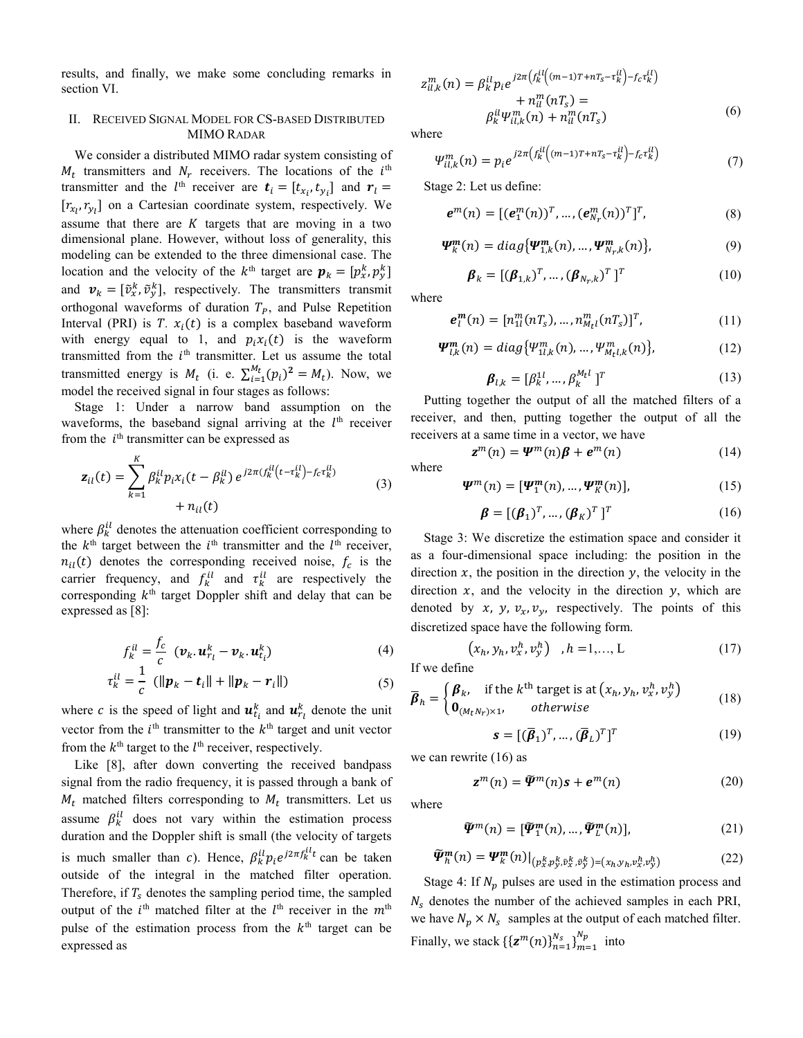results, and finally, we make some concluding remarks in section VI.

## II. RECEIVED SIGNAL MODEL FOR CS-BASED DISTRIBUTED MIMO RADAR

We consider a distributed MIMO radar system consisting of  $M_t$  transmitters and  $N_r$  receivers. The locations of the  $i<sup>th</sup>$ transmitter and the  $l^{\text{th}}$  receiver are  $t_i = [t_{x_i}, t_{y_i}]$  and  $r_i =$  $[r_{x_1}, r_{y_1}]$  on a Cartesian coordinate system, respectively. We assume that there are  $K$  targets that are moving in a two dimensional plane. However, without loss of generality, this modeling can be extended to the three dimensional case. The location and the velocity of the  $k^{\text{th}}$  target are  $\boldsymbol{p}_k = [p_x^k, p_y^k]$ and  $v_k = [\tilde{v}_x^k, \tilde{v}_y^k]$ , respectively. The transmitters transmit orthogonal waveforms of duration  $T_P$ , and Pulse Repetition Interval (PRI) is  $T. x_i(t)$  is a complex baseband waveform with energy equal to 1, and  $p_i x_i(t)$  is the waveform transmitted from the  $i<sup>th</sup>$  transmitter. Let us assume the total transmitted energy is  $M_t$  (i. e.  $\sum_{i=1}^{M_t} (p_i)^2 = M_t$ ). Now, we model the received signal in four stages as follows:

Stage 1: Under a narrow band assumption on the waveforms, the baseband signal arriving at the  $l<sup>th</sup>$  receiver from the  $i<sup>th</sup>$  transmitter can be expressed as

$$
\mathbf{z}_{il}(t) = \sum_{k=1}^{K} \beta_k^{il} p_i x_i (t - \beta_k^{il}) e^{j2\pi (f_k^{il}(t - \tau_k^{il}) - f_c \tau_k^{il})} + n_{il}(t)
$$
\n(3)

where  $\beta_k^{il}$  denotes the attenuation coefficient corresponding to the  $k^{\text{th}}$  target between the  $i^{\text{th}}$  transmitter and the  $l^{\text{th}}$  receiver,  $n_{il}(t)$  denotes the corresponding received noise,  $f_c$  is the carrier frequency, and  $f_k^{il}$  and  $\tau_k^{il}$  are respectively the corresponding  $k<sup>th</sup>$  target Doppler shift and delay that can be expressed as [8]:

$$
f_k^{il} = \frac{f_c}{c} \left( \boldsymbol{v}_k \cdot \boldsymbol{u}_{r_l}^k - \boldsymbol{v}_k \cdot \boldsymbol{u}_{t_i}^k \right)
$$
 (4)

$$
\tau_k^{il} = \frac{1}{c} \left( ||\mathbf{p}_k - \mathbf{t}_i|| + ||\mathbf{p}_k - \mathbf{r}_i|| \right) \tag{5}
$$

where c is the speed of light and  $\mathbf{u}_{t_i}^k$  and  $\mathbf{u}_{r_i}^k$  denote the unit vector from the  $i<sup>th</sup>$  transmitter to the  $k<sup>th</sup>$  target and unit vector from the  $k^{\text{th}}$  target to the  $l^{\text{th}}$  receiver, respectively.

 Like [8], after down converting the received bandpass signal from the radio frequency, it is passed through a bank of  $M_t$  matched filters corresponding to  $M_t$  transmitters. Let us assume  $\beta_k^{il}$  does not vary within the estimation process duration and the Doppler shift is small (the velocity of targets is much smaller than c). Hence,  $\beta_k^{\mu} p_i e^{j2\pi f_k^{\mu} t}$  can be taken outside of the integral in the matched filter operation. Therefore, if  $T_s$  denotes the sampling period time, the sampled output of the  $i^{\text{th}}$  matched filter at the  $l^{\text{th}}$  receiver in the  $m^{\text{th}}$ pulse of the estimation process from the  $k<sup>th</sup>$  target can be expressed as

$$
z_{il,k}^{m}(n) = \beta_{k}^{il} p_{i} e^{j2\pi \left(f_{k}^{il} \left((m-1)T + nT_{S} - \tau_{k}^{il}\right) - f_{c} \tau_{k}^{il}\right)} + n_{il}^{m}(nT_{S}) =
$$
  
\n
$$
\beta_{k}^{il} \Psi_{il,k}^{m}(n) + n_{il}^{m}(nT_{S})
$$
\n(6)

where

$$
\Psi_{il,k}^{m}(n) = p_i e^{j2\pi \left( f_k^{il} \left( (m-1)T + nT_s - \tau_k^{il} \right) - f_c \tau_k^{il} \right)} \tag{7}
$$

Stage 2: Let us define:

$$
\boldsymbol{e}^{m}(n) = [(\boldsymbol{e}_{1}^{m}(n))^{T}, ..., (\boldsymbol{e}_{N_{r}}^{m}(n))^{T}]^{T}, \qquad (8)
$$

$$
\boldsymbol{\varPsi}_{k}^{\boldsymbol{m}}(n) = diag\{\boldsymbol{\varPsi}_{1,k}^{\boldsymbol{m}}(n), \dots, \boldsymbol{\varPsi}_{N_{\boldsymbol{r}},k}^{\boldsymbol{m}}(n)\},\tag{9}
$$

$$
\boldsymbol{\beta}_k = [(\boldsymbol{\beta}_{1,k})^T, \dots, (\boldsymbol{\beta}_{N_T,k})^T]^T
$$
\n(10)

where

$$
\boldsymbol{e}_l^m(n) = [n_{1l}^m(n_{\rm s}), \dots, n_{M_l}^m(n_{\rm s})]^T, \tag{11}
$$

$$
\Psi_{l,k}^{m}(n) = diag\{\Psi_{1l,k}^{m}(n), ..., \Psi_{M_{t}l,k}^{m}(n)\},
$$
\n(12)

$$
\boldsymbol{\beta}_{l,k} = [\beta_k^{1l}, \dots, \beta_k^{M_t l}]^T
$$
\n(13)

 Putting together the output of all the matched filters of a receiver, and then, putting together the output of all the receivers at a same time in a vector, we have

where

$$
\mathbf{z}^m(n) = \mathbf{\Psi}^m(n)\boldsymbol{\beta} + \boldsymbol{e}^m(n) \tag{14}
$$

$$
\boldsymbol{\varPsi}^{m}(n) = [\boldsymbol{\varPsi}_{1}^{m}(n), \dots, \boldsymbol{\varPsi}_{K}^{m}(n)], \qquad (15)
$$

$$
\boldsymbol{\beta} = [(\boldsymbol{\beta}_1)^T, \dots, (\boldsymbol{\beta}_K)^T]^T
$$
\n(16)

 Stage 3: We discretize the estimation space and consider it as a four-dimensional space including: the position in the direction  $x$ , the position in the direction  $y$ , the velocity in the direction  $x$ , and the velocity in the direction  $y$ , which are denoted by x, y,  $v_x$ ,  $v_y$ , respectively. The points of this discretized space have the following form.

$$
(x_h, y_h, v_x^h, v_y^h), h = 1, \dots, L
$$
 (17)

If we define

$$
\overline{\boldsymbol{\beta}}_h = \begin{cases} \boldsymbol{\beta}_k, & \text{if the } k^{\text{th}} \text{ target is at } (x_h, y_h, v_x^h, v_y^h) \\ \mathbf{0}_{(M_t N_T) \times 1}, & \text{otherwise} \end{cases} \tag{18}
$$

$$
\mathbf{s} = [(\overline{\boldsymbol{\beta}}_1)^T, \dots, (\overline{\boldsymbol{\beta}}_L)^T]^T
$$
 (19)

we can rewrite (16) as

$$
\mathbf{z}^m(n) = \widetilde{\mathbf{\Psi}}^m(n)\mathbf{s} + \mathbf{e}^m(n) \tag{20}
$$

where

$$
\widetilde{\mathbf{\Psi}}^{m}(n) = [\widetilde{\mathbf{\Psi}}_{1}^{m}(n), \dots, \widetilde{\mathbf{\Psi}}_{L}^{m}(n)], \qquad (21)
$$

$$
\widetilde{\Psi}_{h}^{m}(n) = {\Psi}_{k}^{m}(n)|_{(p_{x}^{k}, p_{y}^{k}, \widetilde{v}_{x}^{k}, \widetilde{v}_{y}^{k}) = (x_{h}, y_{h}, v_{x}^{h}, v_{y}^{h})}
$$
\n(22)

Stage 4: If  $N_p$  pulses are used in the estimation process and  $N_s$  denotes the number of the achieved samples in each PRI, we have  $N_p \times N_s$  samples at the output of each matched filter. Finally, we stack  $\left\{ {\mathbf{z}^m(n)} \right\}_{n=1}^{N_s}$  and  $\left\{ {\mathbf{z}^m(n)} \right\}_{n=1}^{N_p}$  into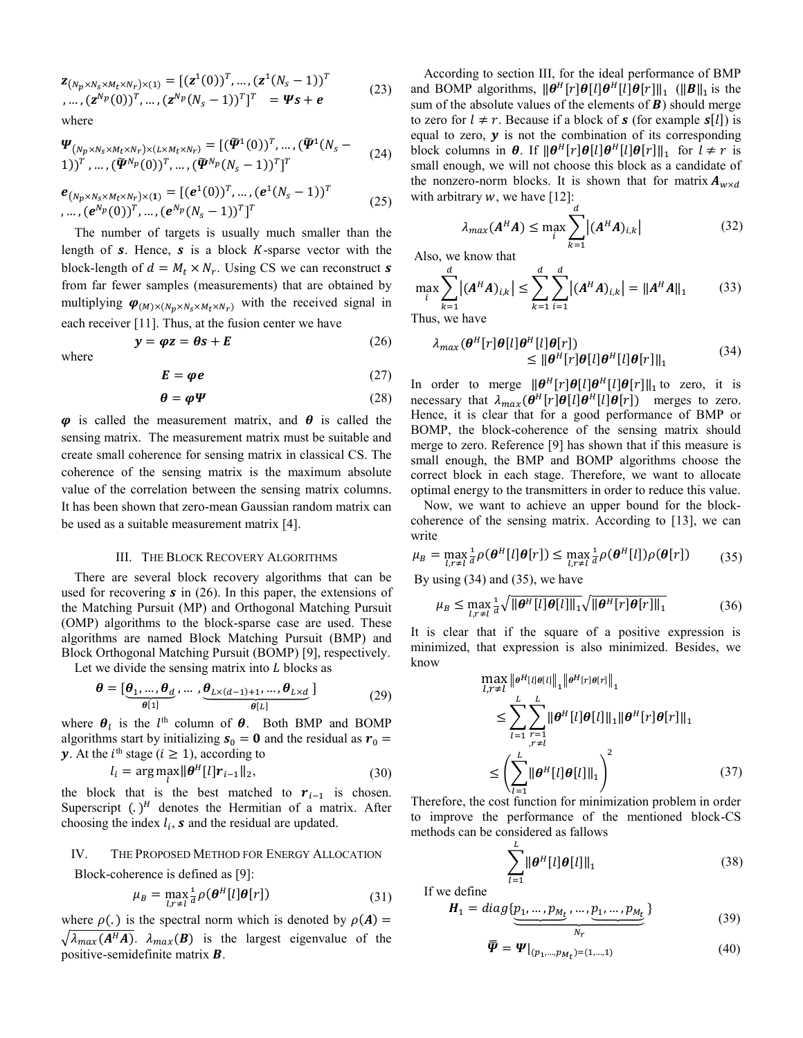$\bm{z}_{(N_p \times N_s \times M_t \times N_r) \times (1)} = [(\bm{z}^1(0))^T, ..., (\bm{z}^1(N_s-1))^T]$ , ...,  $(\mathbf{z}^{N_p}(0))^T$ , ...,  $(\mathbf{z}^{N_p}(N_s-1))^T]^T = \mathbf{\Psi}\mathbf{s} + \mathbf{e}$ (23) where

$$
\Psi_{(N_p \times N_s \times M_t \times N_r) \times (L \times M_t \times N_r)} = [(\tilde{\Psi}^1(0))^T, ..., (\tilde{\Psi}^1(N_s - 1))^T, ..., (\tilde{\Psi}^N(0))^T, ..., (\tilde{\Psi}^N(0))^T, ..., (\tilde{\Psi}^N(0))^T]^T
$$
\n(24)

$$
\begin{aligned} e_{(N_p \times N_s \times M_t \times N_r) \times (1)} &= [(e^1(0))^T, \dots, (e^1(N_s - 1))^T \\ &\dots, (e^{N_p}(0))^T, \dots, (e^{N_p}(N_s - 1))^T]^T \end{aligned} \tag{25}
$$

 The number of targets is usually much smaller than the length of  $s$ . Hence,  $s$  is a block  $K$ -sparse vector with the block-length of  $d = M_t \times N_r$ . Using CS we can reconstruct s from far fewer samples (measurements) that are obtained by multiplying  $\varphi_{(M)\times(N_n\times N_s\times M_t\times N_r)}$  with the received signal in each receiver [11]. Thus, at the fusion center we have

where

$$
E = \varphi e \tag{27}
$$

 $y = \varphi z = \theta s + E$  (26)

$$
\boldsymbol{\theta} = \boldsymbol{\varphi} \boldsymbol{\varPsi} \tag{28}
$$

 $\varphi$  is called the measurement matrix, and  $\theta$  is called the sensing matrix. The measurement matrix must be suitable and create small coherence for sensing matrix in classical CS. The coherence of the sensing matrix is the maximum absolute value of the correlation between the sensing matrix columns. It has been shown that zero-mean Gaussian random matrix can be used as a suitable measurement matrix [4].

## III. THE BLOCK RECOVERY ALGORITHMS

 There are several block recovery algorithms that can be used for recovering  $s$  in (26). In this paper, the extensions of the Matching Pursuit (MP) and Orthogonal Matching Pursuit (OMP) algorithms to the block-sparse case are used. These algorithms are named Block Matching Pursuit (BMP) and Block Orthogonal Matching Pursuit (BOMP) [9], respectively.

Let we divide the sensing matrix into  $L$  blocks as

$$
\boldsymbol{\theta} = [\underbrace{\boldsymbol{\theta}_{1}, \dots, \boldsymbol{\theta}_{d}}_{\boldsymbol{\theta}[1]}, \dots, \underbrace{\boldsymbol{\theta}_{L \times (d-1)+1}, \dots, \boldsymbol{\theta}_{L \times d}}_{\boldsymbol{\theta}[L]} ]
$$
(29)

where  $\theta_l$  is the l<sup>th</sup> column of  $\theta$ . Both BMP and BOMP algorithms start by initializing  $s_0 = 0$  and the residual as  $r_0 =$ **y**. At the *i*<sup>th</sup> stage ( $i \ge 1$ ), according to

$$
l_i = \arg \max_{l} \|\boldsymbol{\theta}^H[l]\boldsymbol{r}_{i-1}\|_2,\tag{30}
$$

the block that is the best matched to  $r_{i-1}$  is chosen. Superscript  $(.)^H$  denotes the Hermitian of a matrix. After choosing the index  $l_i$ ,  $s$  and the residual are updated.

#### IV. THE PROPOSED METHOD FOR ENERGY ALLOCATION

Block-coherence is defined as [9]:

$$
\mu_B = \max_{l,r \neq l} \frac{1}{d} \rho(\boldsymbol{\theta}^H[l] \boldsymbol{\theta}[r]) \tag{31}
$$

where  $\rho(.)$  is the spectral norm which is denoted by  $\rho(A) =$  $\sqrt{\lambda_{max}(A^H A)}$ .  $\lambda_{max}(B)$  is the largest eigenvalue of the positive-semidefinite matrix  $\bm{B}$ .

 According to section III, for the ideal performance of BMP and BOMP algorithms,  $\|\theta^H[r]\theta[l]\theta^H[l]\theta[r]\|_1$  ( $\|\theta\|_1$  is the sum of the absolute values of the elements of  $\bm{B}$ ) should merge to zero for  $l \neq r$ . Because if a block of **s** (for example **s**[l]) is equal to zero,  $y$  is not the combination of its corresponding block columns in  $\theta$ . If  $\|\theta^H[r]\theta[l]\theta^H[l]\theta[r]\|_1$  for  $l \neq r$  is small enough, we will not choose this block as a candidate of the nonzero-norm blocks. It is shown that for matrix  $A_{w \times d}$ with arbitrary  $w$ , we have [12]:

$$
\lambda_{max}(A^H A) \le \max_{i} \sum_{k=1}^{d} |(A^H A)_{i,k}| \tag{32}
$$

Also, we know that

$$
\max_{i} \sum_{k=1}^{d} |(A^{H}A)_{i,k}| \leq \sum_{k=1}^{d} \sum_{i=1}^{d} |(A^{H}A)_{i,k}| = ||A^{H}A||_{1}
$$
(33)

Thus, we have

$$
\lambda_{max}(\boldsymbol{\theta}^{H}[r]\boldsymbol{\theta}[l]\boldsymbol{\theta}^{H}[l]\boldsymbol{\theta}[r])\n\leq \|\boldsymbol{\theta}^{H}[r]\boldsymbol{\theta}[l]\boldsymbol{\theta}^{H}[l]\boldsymbol{\theta}[r]\|_{1}\n\tag{34}
$$

In order to merge  $\|\theta^H[r]\theta[l]\theta^H[l]\theta[r]\|_1$  to zero, it is necessary that  $\lambda_{max}(\theta^H[r]\theta[l]\theta^H[l]\theta[r])$  merges to zero. Hence, it is clear that for a good performance of BMP or BOMP, the block-coherence of the sensing matrix should merge to zero. Reference [9] has shown that if this measure is small enough, the BMP and BOMP algorithms choose the correct block in each stage. Therefore, we want to allocate optimal energy to the transmitters in order to reduce this value.

 Now, we want to achieve an upper bound for the blockcoherence of the sensing matrix. According to [13], we can write

$$
\mu_B = \max_{l,r \neq l} \frac{1}{d} \rho(\boldsymbol{\theta}^H[l]\boldsymbol{\theta}[r]) \le \max_{l,r \neq l} \frac{1}{d} \rho(\boldsymbol{\theta}^H[l]) \rho(\boldsymbol{\theta}[r]) \tag{35}
$$

By using (34) and (35), we have

$$
\mu_B \le \max_{l,r \neq l} \frac{1}{d} \sqrt{\|\boldsymbol{\theta}^H[l]\boldsymbol{\theta}[l]\|_1} \sqrt{\|\boldsymbol{\theta}^H[r]\boldsymbol{\theta}[r]\|_1}
$$
(36)

It is clear that if the square of a positive expression is minimized, that expression is also minimized. Besides, we know

$$
\max_{l,r \neq l} \|\theta^{H}[l] \theta^{[l]} \|_{1} \|\theta^{H}[r] \theta^{[r]} \|_{1}
$$
\n
$$
\leq \sum_{l=1}^{L} \sum_{\substack{r=1 \ r \neq l}}^{L} \|\theta^{H}[l] \theta[l] \|_{1} \|\theta^{H}[r] \theta[r] \|_{1}
$$
\n
$$
\leq \left( \sum_{l=1}^{L} \|\theta^{H}[l] \theta[l] \|_{1} \right)^{2} \tag{37}
$$

Therefore, the cost function for minimization problem in order to improve the performance of the mentioned block-CS methods can be considered as fallows

$$
\sum_{l=1}^{L} \|\boldsymbol{\theta}^{H}[l]\boldsymbol{\theta}[l]\|_{1}
$$
\n(38)

If we define

$$
\boldsymbol{H}_1 = diag\{\underbrace{p_1, \dots, p_{M_t}, \dots, p_1, \dots, p_{M_t}}_{N_T}\}\tag{39}
$$

$$
\bar{\bar{\Psi}} = \Psi|_{(p_1, \dots, p_{M_t}) = (1, \dots, 1)}
$$
(40)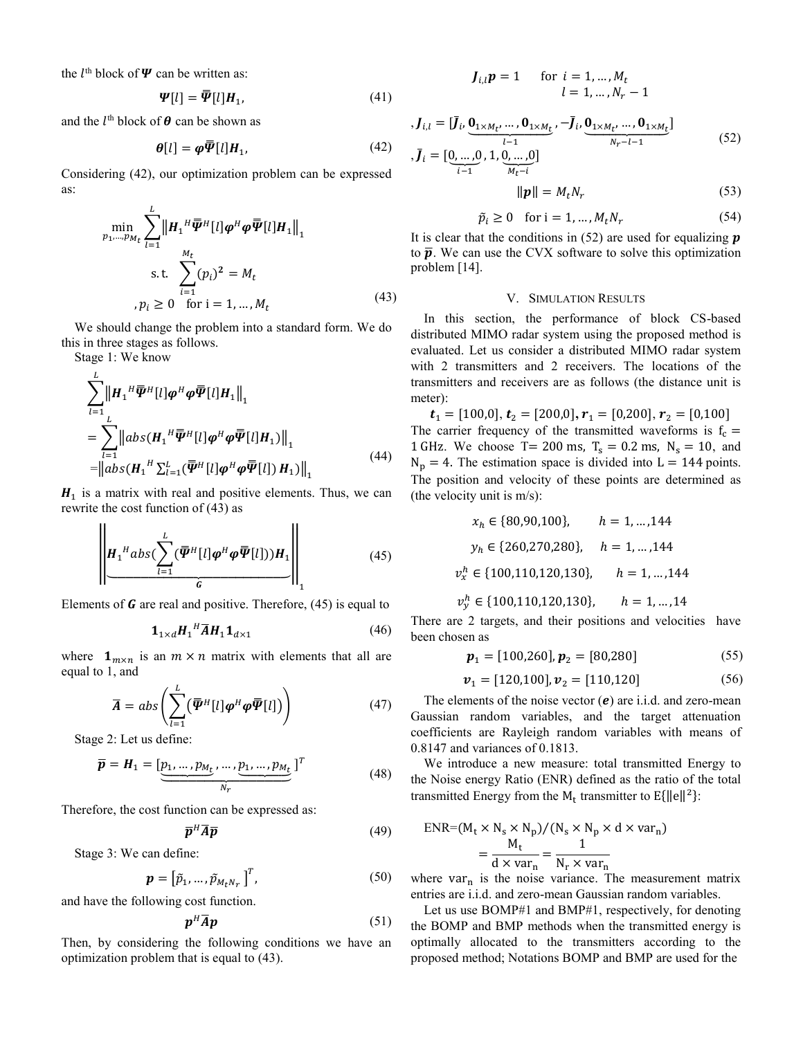the  $l^{\text{th}}$  block of  $\Psi$  can be written as:

$$
\Psi[l] = \overline{\Psi}[l]H_1,\tag{41}
$$

and the  $l^{\text{th}}$  block of  $\theta$  can be shown as

$$
\boldsymbol{\theta}[l] = \boldsymbol{\varphi}\boldsymbol{\overline{\Psi}}[l] \boldsymbol{H}_1,\tag{42}
$$

Considering (42), our optimization problem can be expressed as:

$$
\min_{p_1, \dots, p_{M_t}} \sum_{l=1}^{L} \left\| H_1^H \overline{\Psi}^H[l] \varphi^H \varphi \overline{\Psi}[l] H_1 \right\|_1
$$
\ns.t. 
$$
\sum_{i=1}^{M_t} (p_i)^2 = M_t
$$
\n
$$
p_i \ge 0 \quad \text{for } i = 1, \dots, M_t
$$
\n(43)

 We should change the problem into a standard form. We do this in three stages as follows.

Stage 1: We know

$$
\sum_{l=1}^{L} \left\| H_1^H \overline{\Psi}^H[l] \varphi^H \varphi \overline{\Psi}[l] H_1 \right\|_1
$$
\n
$$
= \sum_{l=1}^{L} \left\| abs(H_1^H \overline{\Psi}^H[l] \varphi^H \varphi \overline{\Psi}[l] H_1) \right\|_1
$$
\n
$$
= \left\| abs(H_1^H \sum_{l=1}^{L} (\overline{\Psi}^H[l] \varphi^H \varphi \overline{\Psi}[l]) H_1) \right\|_1
$$
\n(44)

 $H_1$  is a matrix with real and positive elements. Thus, we can rewrite the cost function of (43) as

$$
\left\| H_1^H abs\left( \sum_{l=1}^L (\overline{\boldsymbol{\Psi}}^H[l] \boldsymbol{\varphi}^H \boldsymbol{\varphi} \overline{\boldsymbol{\Psi}}[l]) \right) H_1 \right\|_1 \tag{45}
$$

Elements of  **are real and positive. Therefore, (45) is equal to** 

$$
\mathbf{1}_{1 \times d} H_1^H \overline{A} H_1 \mathbf{1}_{d \times 1} \tag{46}
$$

where  $\mathbf{1}_{m \times n}$  is an  $m \times n$  matrix with elements that all are equal to 1, and

$$
\overline{A} = abs\left(\sum_{l=1}^{L} (\overline{\boldsymbol{\varPsi}}^{H}[l] \boldsymbol{\varphi}^{H} \boldsymbol{\varphi} \overline{\boldsymbol{\varPsi}}[l])\right) \tag{47}
$$

Stage 2: Let us define:

$$
\overline{\boldsymbol{p}} = \boldsymbol{H}_1 = [\underbrace{\boldsymbol{p}_1, \dots, \boldsymbol{p}_{M_t}, \dots, \boldsymbol{p}_1, \dots, \boldsymbol{p}_{M_t}}_{N_r}]^T
$$
(48)

Therefore, the cost function can be expressed as:

$$
\overline{p}^H \overline{A} \overline{p} \tag{49}
$$

Stage 3: We can define:

$$
\boldsymbol{p} = \begin{bmatrix} \tilde{p}_1, \dots, \tilde{p}_{M_t N_T} \end{bmatrix}^T, \tag{50}
$$

and have the following cost function.

$$
\boldsymbol{p}^H \overline{\boldsymbol{A}} \boldsymbol{p} \tag{51}
$$

Then, by considering the following conditions we have an optimization problem that is equal to (43).

$$
J_{i,l}\mathbf{p} = 1
$$
 for  $i = 1, ..., M_t$   
 $l = 1, ..., N_r - 1$ 

$$
J_{i,l} = [\bar{J}_i, \underbrace{0_{1 \times M_t}, \dots, 0_{1 \times M_t}}_{l-1}, -\bar{J}_i, \underbrace{0_{1 \times M_t}, \dots, 0_{1 \times M_t}}_{N_r - l - 1}]
$$
  
,  $\bar{J}_i = [\underbrace{0, \dots, 0}_{i-1}, 1, \underbrace{0, \dots, 0}_{M_t - i}]$  (52)

$$
\|\boldsymbol{p}\| = M_t N_r \tag{53}
$$

$$
\tilde{p}_i \ge 0 \quad \text{for } i = 1, \dots, M_t N_r \tag{54}
$$

It is clear that the conditions in  $(52)$  are used for equalizing **p** to  $\bar{p}$ . We can use the CVX software to solve this optimization problem [14].

### V. SIMULATION RESULTS

In this section, the performance of block CS-based distributed MIMO radar system using the proposed method is evaluated. Let us consider a distributed MIMO radar system with 2 transmitters and 2 receivers. The locations of the transmitters and receivers are as follows (the distance unit is meter):

 $\mathbf{t}_1 = [100,0], \mathbf{t}_2 = [200,0], \mathbf{r}_1 = [0,200], \mathbf{r}_2 = [0,100]$ The carrier frequency of the transmitted waveforms is  $f_c =$ 1 GHz. We choose T = 200 ms,  $T_s = 0.2$  ms,  $N_s = 10$ , and  $N_p = 4$ . The estimation space is divided into L = 144 points. The position and velocity of these points are determined as (the velocity unit is m/s):

$$
x_h \in \{80,90,100\}, \qquad h = 1,...,144
$$

$$
y_h \in \{260,270,280\}, \qquad h = 1,...,144
$$

$$
v_x^h \in \{100,110,120,130\}, \qquad h = 1,...,144
$$

$$
v_y^h \in \{100,110,120,130\}, \qquad h = 1,...,14
$$

There are 2 targets, and their positions and velocities have been chosen as

$$
\boldsymbol{p}_1 = [100, 260], \boldsymbol{p}_2 = [80, 280] \tag{55}
$$

$$
\boldsymbol{v}_1 = [120, 100], \boldsymbol{v}_2 = [110, 120] \tag{56}
$$

The elements of the noise vector  $(e)$  are i.i.d. and zero-mean Gaussian random variables, and the target attenuation coefficients are Rayleigh random variables with means of 0.8147 and variances of 0.1813.

We introduce a new measure: total transmitted Energy to the Noise energy Ratio (ENR) defined as the ratio of the total transmitted Energy from the  $M_t$  transmitter to  $E\{\|\mathbf{e}\|^2\}$ :

$$
ENR = (M_t \times N_s \times N_p) / (N_s \times N_p \times d \times var_n)
$$
  
= 
$$
\frac{M_t}{d \times var_n} = \frac{1}{N_r \times var_n}
$$

where  $var_n$  is the noise variance. The measurement matrix entries are i.i.d. and zero-mean Gaussian random variables.

Let us use BOMP#1 and BMP#1, respectively, for denoting the BOMP and BMP methods when the transmitted energy is optimally allocated to the transmitters according to the proposed method; Notations BOMP and BMP are used for the